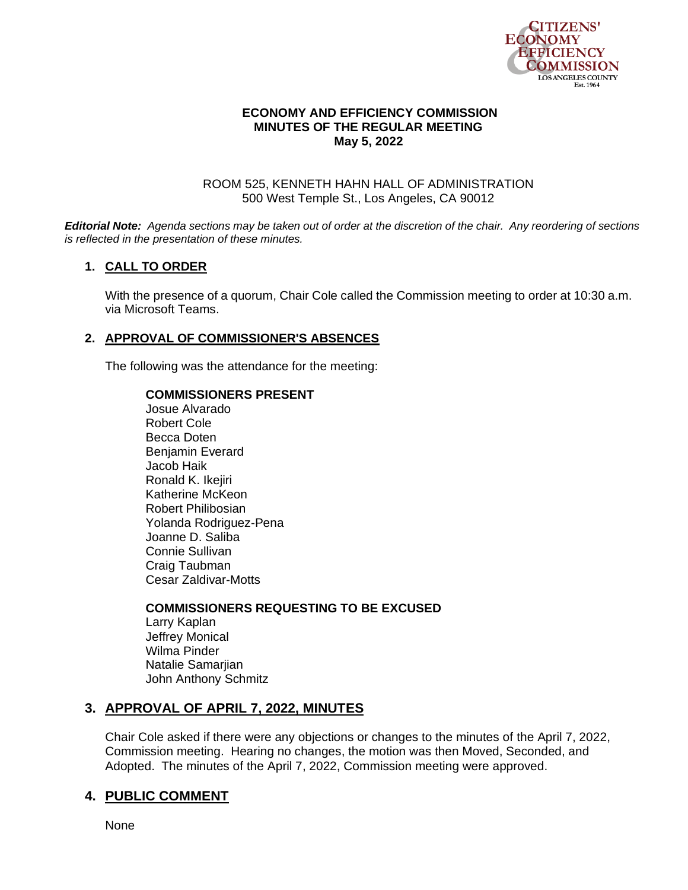

### **ECONOMY AND EFFICIENCY COMMISSION MINUTES OF THE REGULAR MEETING May 5, 2022**

#### ROOM 525, KENNETH HAHN HALL OF ADMINISTRATION 500 West Temple St., Los Angeles, CA 90012

*Editorial Note: Agenda sections may be taken out of order at the discretion of the chair. Any reordering of sections is reflected in the presentation of these minutes.*

### **1. CALL TO ORDER**

With the presence of a quorum, Chair Cole called the Commission meeting to order at 10:30 a.m. via Microsoft Teams.

### **2. APPROVAL OF COMMISSIONER'S ABSENCES**

The following was the attendance for the meeting:

#### **COMMISSIONERS PRESENT**

Josue Alvarado Robert Cole Becca Doten Benjamin Everard Jacob Haik Ronald K. Ikejiri Katherine McKeon Robert Philibosian Yolanda Rodriguez-Pena Joanne D. Saliba Connie Sullivan Craig Taubman Cesar Zaldivar-Motts

**COMMISSIONERS REQUESTING TO BE EXCUSED** Larry Kaplan Jeffrey Monical Wilma Pinder Natalie Samarjian John Anthony Schmitz

### **3. APPROVAL OF APRIL 7, 2022, MINUTES**

Chair Cole asked if there were any objections or changes to the minutes of the April 7, 2022, Commission meeting. Hearing no changes, the motion was then Moved, Seconded, and Adopted. The minutes of the April 7, 2022, Commission meeting were approved.

# **4. PUBLIC COMMENT**

None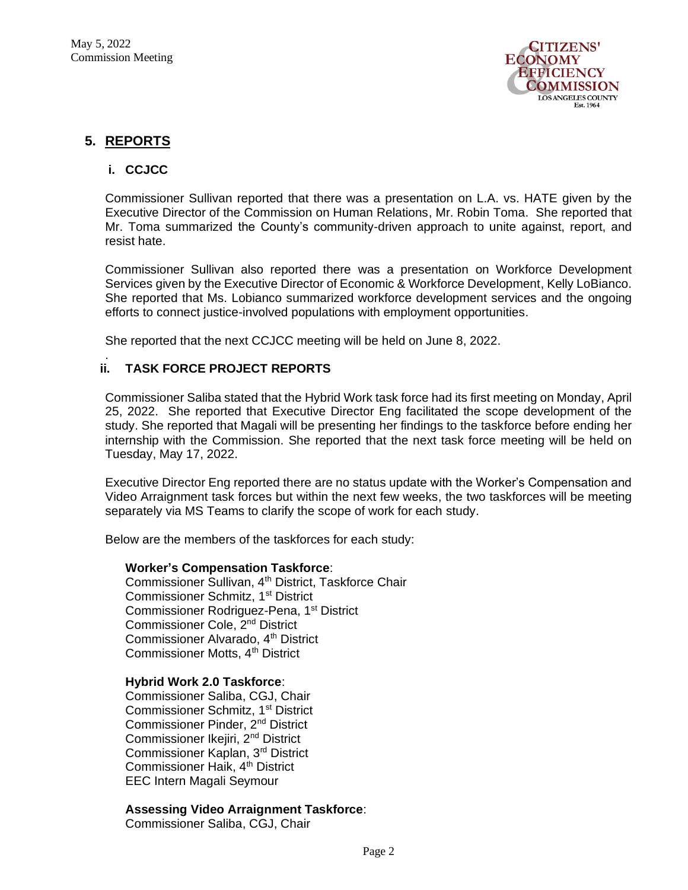

# **5. REPORTS**

.

### **i. CCJCC**

Commissioner Sullivan reported that there was a presentation on L.A. vs. HATE given by the Executive Director of the Commission on Human Relations, Mr. Robin Toma. She reported that Mr. Toma summarized the County's community-driven approach to unite against, report, and resist hate.

Commissioner Sullivan also reported there was a presentation on Workforce Development Services given by the Executive Director of Economic & Workforce Development, Kelly LoBianco. She reported that Ms. Lobianco summarized workforce development services and the ongoing efforts to connect justice-involved populations with employment opportunities.

She reported that the next CCJCC meeting will be held on June 8, 2022.

### **ii. TASK FORCE PROJECT REPORTS**

Commissioner Saliba stated that the Hybrid Work task force had its first meeting on Monday, April 25, 2022. She reported that Executive Director Eng facilitated the scope development of the study. She reported that Magali will be presenting her findings to the taskforce before ending her internship with the Commission. She reported that the next task force meeting will be held on Tuesday, May 17, 2022.

Executive Director Eng reported there are no status update with the Worker's Compensation and Video Arraignment task forces but within the next few weeks, the two taskforces will be meeting separately via MS Teams to clarify the scope of work for each study.

Below are the members of the taskforces for each study:

#### **Worker's Compensation Taskforce**:

Commissioner Sullivan, 4<sup>th</sup> District, Taskforce Chair Commissioner Schmitz, 1<sup>st</sup> District Commissioner Rodriguez-Pena, 1<sup>st</sup> District Commissioner Cole, 2nd District Commissioner Alvarado, 4<sup>th</sup> District Commissioner Motts, 4<sup>th</sup> District

#### **Hybrid Work 2.0 Taskforce**:

Commissioner Saliba, CGJ, Chair Commissioner Schmitz, 1<sup>st</sup> District Commissioner Pinder, 2nd District Commissioner Ikejiri, 2nd District Commissioner Kaplan, 3rd District Commissioner Haik, 4<sup>th</sup> District EEC Intern Magali Seymour

#### **Assessing Video Arraignment Taskforce**:

Commissioner Saliba, CGJ, Chair